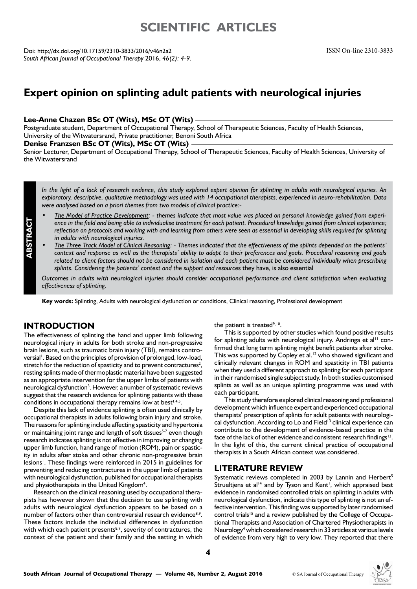# **SCIENTIFIC ARTICI FS**

Doi: http://dx.doi.org/10.17159/2310-3833/2016/v46n2a2 *South African Journal of Occupational Therapy* 2016, *46(2): 4-9.*

# **Expert opinion on splinting adult patients with neurological injuries**

#### **Lee-Anne Chazen BSc OT (Wits), MSc OT (Wits)**

Postgraduate student, Department of Occupational Therapy, School of Therapeutic Sciences, Faculty of Health Sciences, University of the Witwatersrand, Private practitioner, Benoni South Africa

### **Denise Franzsen BSc OT (Wits), MSc OT (Wits)**

Senior Lecturer, Department of Occupational Therapy, School of Therapeutic Sciences, Faculty of Health Sciences, University of the Witwatersrand

*In the light of a lack of research evidence, this study explored expert opinion for splinting in adults with neurological injuries. An exploratory, descriptive, qualitative methodology was used with 14 occupational therapists, experienced in neuro-rehabilitation. Data were analysed based on a priori themes from two models of clinical practice:-*

- *The Model of Practice Development: themes indicate that most value was placed on personal knowledge gained from experience in the field and being able to individualise treatment for each patient. Procedural knowledge gained from clinical experience; reflection on protocols and working with and learning from others were seen as essential in developing skills required for splinting in adults with neurological injuries.*
- *The Three Track Model of Clinical Reasoning: Themes indicated that the effectiveness of the splints depended on the patients' context and response as well as the therapists' ability to adapt to their preferences and goals. Procedural reasoning and goals related to client factors should not be considered in isolation and each patient must be considered individually when prescribing splints. Considering the patients' context and the support and resource*s they have, is also essential

*Outcomes in adults with neurological injuries should consider occupational performance and client satisfaction when evaluating effectiveness of splinting.*

**Key words:** Splinting, Adults with neurological dysfunction or conditions, Clinical reasoning, Professional development

# **INTRODUCTION**

**ABSTRACT**

The effectiveness of splinting the hand and upper limb following neurological injury in adults for both stroke and non-progressive brain lesions, such as traumatic brain injury (TBI), remains controversial<sup>1</sup>. Based on the principles of provision of prolonged, low-load, stretch for the reduction of spasticity and to prevent contractures<sup>2</sup>, resting splints made of thermoplastic material have been suggested as an appropriate intervention for the upper limbs of patients with neurological dysfunction<sup>3</sup>. However, a number of systematic reviews suggest that the research evidence for splinting patients with these conditions in occupational therapy remains low at best<sup> $1,4,5$ </sup>.

Despite this lack of evidence splinting is often used clinically by occupational therapists in adults following brain injury and stroke. The reasons for splinting include affecting spasticity and hypertonia or maintaining joint range and length of soft tissues<sup>5-7</sup> even though research indicates splinting is not effective in improving or changing upper limb function, hand range of motion (ROM), pain or spasticity in adults after stoke and other chronic non-progressive brain lesions<sup>1</sup>. These findings were reinforced in 2015 in guidelines for preventing and reducing contractures in the upper limb of patients with neurological dysfunction, published for occupational therapists and physiotherapists in the United Kingdom<sup>4</sup>.

Research on the clinical reasoning used by occupational therapists has however shown that the decision to use splinting with adults with neurological dysfunction appears to be based on a number of factors other than controversial research evidence<sup>8,9</sup>. These factors include the individual differences in dysfunction with which each patient presents<sup>8,9</sup>, severity of contractures, the context of the patient and their family and the setting in which

the patient is treated<sup>9,10</sup>.

This is supported by other studies which found positive results for splinting adults with neurological injury. Andringa et al<sup>11</sup> confirmed that long term splinting might benefit patients after stroke. This was supported by Copley et al.<sup>12</sup> who showed significant and clinically relevant changes in ROM and spasticity in TBI patients when they used a different approach to splinting for each participant in their randomised single subject study. In both studies customised splints as well as an unique splinting programme was used with each participant.

This study therefore explored clinical reasoning and professional development which influence expert and experienced occupational therapists' prescription of splints for adult patients with neurological dysfunction. According to Lo and Field<sup>13</sup> clinical experience can contribute to the development of evidence-based practice in the face of the lack of other evidence and consistent research findings<sup>13</sup>. In the light of this, the current clinical practice of occupational therapists in a South African context was considered.

## **LITERATURE REVIEW**

Systematic reviews completed in 2003 by Lannin and Herbert<sup>5</sup> Strueltjens et al<sup>14</sup> and by Tyson and Kent<sup>1</sup>, which appraised best evidence in randomised controlled trials on splinting in adults with neurological dysfunction, indicate this type of splinting is not an effective intervention. This finding was supported by later randomised control trials<sup>15</sup> and a review published by the College of Occupational Therapists and Association of Chartered Physiotherapists in Neurology<sup>4</sup> which considered research in 33 articles at various levels of evidence from very high to very low. They reported that there

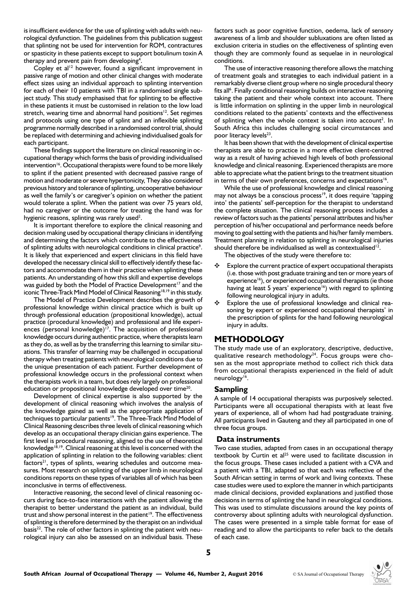is insufficient evidence for the use of splinting with adults with neurological dysfunction. The guidelines from this publication suggest that splinting not be used for intervention for ROM, contractures or spasticity in these patients except to support botulinum toxin A therapy and prevent pain from developing<sup>4</sup>.

Copley et al<sup>12</sup> however, found a significant improvement in passive range of motion and other clinical changes with moderate effect sizes using an individual approach to splinting intervention for each of their 10 patients with TBI in a randomised single subject study. This study emphasised that for splinting to be effective in these patients it must be customised in relation to the low load stretch, wearing time and abnormal hand positions<sup>12</sup>. Set regimes and protocols using one type of splint and an inflexible splinting programme normally described in a randomised control trial, should be replaced with determining and achieving individualised goals for each participant.

These findings support the literature on clinical reasoning in occupational therapy which forms the basis of providing individualised intervention<sup>16</sup>. Occupational therapists were found to be more likely to splint if the patient presented with decreased passive range of motion and moderate or severe hypertonicity, They also considered previous history and tolerance of splinting, uncooperative behaviour as well the family's or caregiver's opinion on whether the patient would tolerate a splint. When the patient was over 75 years old, had no caregiver or the outcome for treating the hand was for hygienic reasons, splinting was rarely used<sup>2</sup>.

It is important therefore to explore the clinical reasoning and decision making used by occupational therapy clinicians in identifying and determining the factors which contribute to the effectiveness of splinting adults with neurological conditions in clinical practice<sup>9</sup>. It is likely that experienced and expert clinicians in this field have developed the necessary clinical skill to effectively identify these factors and accommodate them in their practice when splinting these patients. An understanding of how this skill and expertise develops was guided by both the Model of Practice Development<sup>17</sup> and the iconic Three-Track Mind Model of Clinical Reasoning<sup>18,19</sup> in this study.

The Model of Practice Development describes the growth of professional knowledge within clinical practice which is built up through professional education (propositional knowledge), actual practice (procedural knowledge) and professional and life experiences (personal knowledge)<sup>17</sup>. The acquisition of professional knowledge occurs during authentic practice, where therapists learn as they do, as well as by the transferring this learning to similar situations. This transfer of learning may be challenged in occupational therapy when treating patients with neurological conditions due to the unique presentation of each patient. Further development of professional knowledge occurs in the professional context when the therapists work in a team, but does rely largely on professional education or propositional knowledge developed over time<sup>20</sup>.

Development of clinical expertise is also supported by the development of clinical reasoning which involves the analysis of the knowledge gained as well as the appropriate application of techniques to particular patients<sup>19</sup>. The Three-Track Mind Model of Clinical Reasoning describes three levels of clinical reasoning which develop as an occupational therapy clinician gains experience. The first level is procedural reasoning, aligned to the use of theoretical knowledge<sup>18,19</sup>. Clinical reasoning at this level is concerned with the application of splinting in relation to the following variables: client  $factors<sup>21</sup>$ , types of splints, wearing schedules and outcome measures. Most research on splinting of the upper limb in neurological conditions reports on these types of variables all of which has been inconclusive in terms of effectiveness.

Interactive reasoning, the second level of clinical reasoning occurs during face-to-face interactions with the patient allowing the therapist to better understand the patient as an individual, build trust and show personal interest in the patient<sup>19</sup>. The effectiveness of splinting is therefore determined by the therapist on an individual basis<sup>22</sup>. The role of other factors in splinting the patient with neurological injury can also be assessed on an individual basis. These

factors such as poor cognitive function, oedema, lack of sensory awareness of a limb and shoulder subluxations are often listed as exclusion criteria in studies on the effectiveness of splinting even though they are commonly found as sequelae in in neurological conditions.

The use of interactive reasoning therefore allows the matching of treatment goals and strategies to each individual patient in a remarkably diverse client group where no single procedural theory fits all<sup>6</sup>. Finally conditional reasoning builds on interactive reasoning taking the patient and their whole context into account. There is little information on splinting in the upper limb in neurological conditions related to the patients' contexts and the effectiveness of splinting when the whole context is taken into account<sup>2</sup>. In South Africa this includes challenging social circumstances and poor literacy levels<sup>23</sup>.

It has been shown that with the development of clinical expertise therapists are able to practice in a more effective client-centred way as a result of having achieved high levels of both professional knowledge and clinical reasoning. Experienced therapists are more able to appreciate what the patient brings to the treatment situation in terms of their own preferences, concerns and expectations<sup>16</sup>.

While the use of professional knowledge and clinical reasoning may not always be a conscious process<sup>19</sup>, it does require 'tapping into' the patients' self-perception for the therapist to understand the complete situation. The clinical reasoning process includes a review of factors such as the patients' personal attributes and his/her perception of his/her occupational and performance needs before moving to goal setting with the patients and his/her family members. Treatment planning in relation to splinting in neurological injuries should therefore be individualised as well as contextualised<sup>12</sup>.

The objectives of the study were therefore to:

- Explore the current practice of expert occupational therapists (i.e. those with post graduate training and ten or more years of experience<sup>16</sup>), or experienced occupational therapists (ie those having at least 5 years' experience<sup>16</sup>) with regard to splinting following neurological injury in adults.
- Explore the use of professional knowledge and clinical reasoning by expert or experienced occupational therapists' in the prescription of splints for the hand following neurological injury in adults.

## **METHODOLOGY**

The study made use of an exploratory, descriptive, deductive, qualitative research methodology<sup>24</sup>. Focus groups were chosen as the most appropriate method to collect rich thick data from occupational therapists experienced in the field of adult neurology<sup>16</sup>.

### **Sampling**

A sample of 14 occupational therapists was purposively selected. Participants were all occupational therapists with at least five years of experience, all of whom had had postgraduate training. All participants lived in Gauteng and they all participated in one of three focus groups.

#### **Data instruments**

Two case studies, adapted from cases in an occupational therapy textbook by Curtin et  $al^{25}$  were used to facilitate discussion in the focus groups. These cases included a patient with a CVA and a patient with a TBI, adapted so that each was reflective of the South African setting in terms of work and living contexts. These case studies were used to explore the manner in which participants made clinical decisions, provided explanations and justified those decisions in terms of splinting the hand in neurological conditions. This was used to stimulate discussions around the key points of controversy about splinting adults with neurological dysfunction. The cases were presented in a simple table format for ease of reading and to allow the participants to refer back to the details of each case.

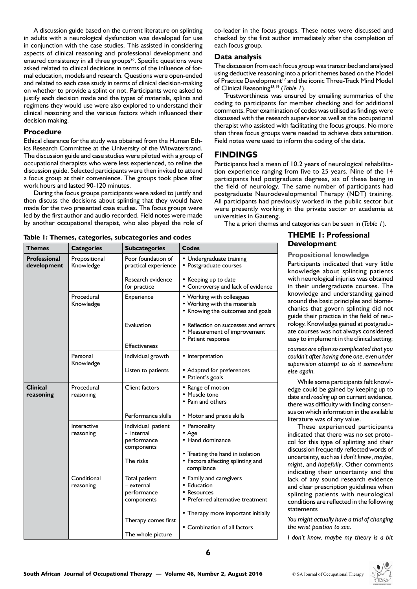A discussion guide based on the current literature on splinting in adults with a neurological dysfunction was developed for use in conjunction with the case studies. This assisted in considering aspects of clinical reasoning and professional development and ensured consistency in all three groups $26$ . Specific questions were asked related to clinical decisions in terms of the influence of formal education, models and research. Questions were open-ended and related to each case study in terms of clinical decision-making on whether to provide a splint or not. Participants were asked to justify each decision made and the types of materials, splints and regimens they would use were also explored to understand their clinical reasoning and the various factors which influenced their decision making.

#### **Procedure**

Ethical clearance for the study was obtained from the Human Ethics Research Committee at the University of the Witwatersrand. The discussion guide and case studies were piloted with a group of occupational therapists who were less experienced, to refine the discussion guide. Selected participants were then invited to attend a focus group at their convenience. The groups took place after work hours and lasted 90-120 minutes.

During the focus groups participants were asked to justify and then discuss the decisions about splinting that they would have made for the two presented case studies. The focus groups were led by the first author and audio recorded. Field notes were made by another occupational therapist, who also played the role of co-leader in the focus groups. These notes were discussed and checked by the first author immediately after the completion of each focus group.

### **Data analysis**

The discussion from each focus group was transcribed and analysed using deductive reasoning into a priori themes based on the Model of Practice Development<sup>17</sup> and the iconic Three-Track Mind Model of Clinical Reasoning18,19 (*Table 1*).

Trustworthiness was ensured by emailing summaries of the coding to participants for member checking and for additional comments. Peer examination of codes was utilised as findings were discussed with the research supervisor as well as the occupational therapist who assisted with facilitating the focus groups. No more than three focus groups were needed to achieve data saturation. Field notes were used to inform the coding of the data.

# **FINDINGS**

Participants had a mean of 10.2 years of neurological rehabilitation experience ranging from five to 25 years. Nine of the 14 participants had postgraduate degrees, six of these being in the field of neurology. The same number of participants had postgraduate Neurodevelopmental Therapy (NDT) training. All participants had previously worked in the public sector but were presently working in the private sector or academia at universities in Gauteng.

The a priori themes and categories can be seen in (*Table 1*).

# **THEME 1: Professional Development**

**Propositional knowledge**

Participants indicated that very little knowledge about splinting patients with neurological injuries was obtained in their undergraduate courses. The knowledge and understanding gained around the basic principles and biomechanics that govern splinting did not guide their practice in the field of neurology. Knowledge gained at postgraduate courses was not always considered easy to implement in the clinical setting:

*courses are often so complicated that you couldn't after having done one, even under supervision attempt to do it somewhere else again.*

While some participants felt knowledge could be gained by keeping up to date and *reading up* on current evidence, there was difficulty with finding consensus on which information in the available literature was of any value.

These experienced participants indicated that there was no set protocol for this type of splinting and their discussion frequently reflected words of uncertainty, such as *I don't know*, *maybe*, *might*, and *hopefully*. Other comments indicating their uncertainty and the lack of any sound research evidence and clear prescription guidelines when splinting patients with neurological conditions are reflected in the following statements

*You might actually have a trial of changing the wrist position to see.*

*I don't know, maybe my theory is a bit* 

| Themes                             | <b>Categories</b>          | <b>Subcategories</b>                                          | <b>Codes</b>                                                                                  |
|------------------------------------|----------------------------|---------------------------------------------------------------|-----------------------------------------------------------------------------------------------|
| <b>Professional</b><br>development | Propositional<br>Knowledge | Poor foundation of<br>practical experience                    | • Undergraduate training<br>• Postgraduate courses                                            |
|                                    |                            | Research evidence<br>for practice                             | • Keeping up to date<br>• Controversy and lack of evidence                                    |
|                                    | Procedural<br>Knowledge    | Experience                                                    | • Working with colleagues<br>• Working with the materials<br>• Knowing the outcomes and goals |
|                                    |                            | Evaluation<br><b>Effectiveness</b>                            | • Reflection on successes and errors<br>• Measurement of improvement<br>• Patient response    |
|                                    | Personal                   | Individual growth                                             | • Interpretation                                                                              |
|                                    | Knowledge                  |                                                               |                                                                                               |
|                                    |                            | Listen to patients                                            | • Adapted for preferences<br>• Patient's goals                                                |
| <b>Clinical</b><br>reasoning       | Procedural<br>reasoning    | <b>Client factors</b>                                         | • Range of motion<br>• Muscle tone<br>• Pain and others                                       |
|                                    |                            | Performance skills                                            | • Motor and praxis skills                                                                     |
|                                    | Interactive<br>reasoning   | Individual patient<br>- internal<br>performance<br>components | • Personality<br>$\bullet$ Age<br>• Hand dominance                                            |
|                                    |                            | The risks                                                     | • Treating the hand in isolation<br>• Factors affecting splinting and<br>compliance           |
|                                    | Conditional<br>reasoning   | Total patient<br>– external<br>performance<br>components      | • Family and caregivers<br>• Education<br>• Resources<br>• Preferred alternative treatment    |
|                                    |                            | Therapy comes first<br>The whole picture                      | • Therapy more important initially<br>• Combination of all factors                            |

# **Table 1: Themes, categories, subcategories and codes**

**6**

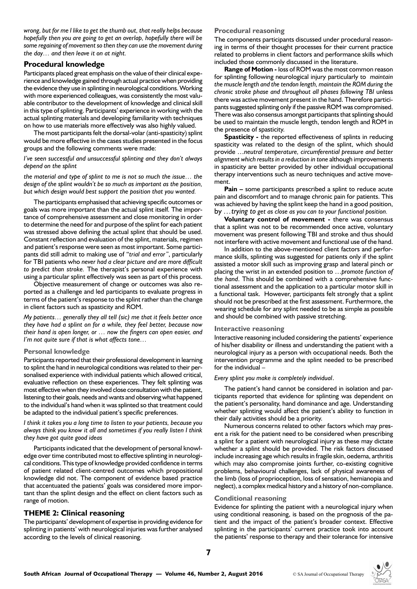*wrong, but for me I like to get the thumb out, that really helps because hopefully then you are going to get an overlap, hopefully there will be some regaining of movement so then they can use the movement during the day… and then leave it on at night.*

### **Procedural knowledge**

Participants placed great emphasis on the value of their clinical experience and knowledge gained through actual practice when providing the evidence they use in splinting in neurological conditions. Working with more experienced colleagues, was consistently the most valuable contributor to the development of knowledge and clinical skill in this type of splinting. Participants' experience in working with the actual splinting materials and developing familiarity with techniques on how to use materials more effectively was also highly valued.

The most participants felt the dorsal-volar (anti-spasticity) splint would be more effective in the cases studies presented in the focus groups and the following comments were made:

*I've seen successful and unsuccessful splinting and they don't always depend on the splint*

*the material and type of splint to me is not so much the issue… the design of the splint wouldn't be so much as important as the position, but which design would best support the position that you wanted.*

The participants emphasised that achieving specific outcomes or goals was more important than the actual splint itself. The importance of comprehensive assessment and close monitoring in order to determine the need for and purpose of the splint for each patient was stressed above defining the actual splint that should be used. Constant reflection and evaluation of the splint, materials, regimen and patient's response were seen as most important. Some participants did still admit to making use of "*trial and error"*, particularly for TBI patients who *never had a clear picture and are more difficult to predict than stroke.* The therapist's personal experience with using a particular splint effectively was seen as part of this process.

Objective measurement of change or outcomes was also reported as a challenge and led participants to evaluate progress in terms of the patient's response to the splint rather than the change in client factors such as spasticity and ROM.

*My patients… generally they all tell (sic) me that it feels better once they have had a splint on for a while, they feel better, because now their hand is open longer, or … now the fingers can open easier, and I'm not quite sure if that is what affects tone…*

#### **Personal knowledge**

Participants reported that their professional development in learning to splint the hand in neurological conditions was related to their personalised experience with individual patients which allowed critical, evaluative reflection on these experiences. They felt splinting was most effective when they involved close consultation with the patient, listening to their goals, needs and wants and observing what happened to the individual's hand when it was splinted so that treatment could be adapted to the individual patient's specific preferences.

*I think it takes you a long time to listen to your patients, because you always think you know it all and sometimes if you really listen I think they have got quite good ideas*

Participants indicated that the development of personal knowledge over time contributed most to effective splinting in neurological conditions. This type of knowledge provided confidence in terms of patient related client-centred outcomes which propositional knowledge did not. The component of evidence based practice that accentuated the patients' goals was considered more important than the splint design and the effect on client factors such as range of motion.

### **THEME 2: Clinical reasoning**

The participants' development of expertise in providing evidence for splinting in patients' with neurological injuries was further analysed according to the levels of clinical reasoning.

#### **Procedural reasoning**

The components participants discussed under procedural reasoning in terms of their thought processes for their current practice related to problems in client factors and performance skills which included those commonly discussed in the literature.

**Range of Motion -** loss of ROM was the most common reason for splinting following neurological injury particularly to *maintain the muscle length and the tendon length, maintain the ROM during the chronic stroke phase and throughout all phases following TBI* unless there was active movement present in the hand. Therefore participants suggested splinting only if the passive ROM was compromised. There was also consensus amongst participants that splinting should be used to maintain the muscle length, tendon length and ROM in the presence of spasticity.

**Spasticity -** the reported effectiveness of splints in reducing spasticity was related to the design of the splint, which should provide …*neutral temperature, circumferential pressure and better alignment which results in a reduction in tone* although improvements in spasticity are better provided by other individual occupational therapy interventions such as neuro techniques and active movement.

**Pain –** some participants prescribed a splint to reduce acute pain and discomfort and to manage chronic pain for patients. This was achieved by having the splint keep the hand in a good position, by *…trying to get as close as you can to your functional position.*

**Voluntary control of movement -** there was consensus that a splint was not to be recommended once active, voluntary movement was present following TBI and stroke and thus should not interfere with active movement and functional use of the hand.

In addition to the above-mentioned client factors and performance skills, splinting was suggested for patients only if the splint assisted a motor skill such as improving grasp and lateral pinch or placing the wrist in an extended position to …*promote function of the hand*. This should be combined with a comprehensive functional assessment and the application to a particular motor skill in a functional task. However, participants felt strongly that a splint should not be prescribed at the first assessment. Furthermore, the wearing schedule for any splint needed to be as simple as possible and should be combined with passive stretching.

#### **Interactive reasoning**

Interactive reasoning included considering the patients' experience of his/her disability or illness and understanding the patient with a neurological injury as a person with occupational needs. Both the intervention programme and the splint needed to be prescribed for the individual –

#### *Every splint you make is completely individual*.

The patient's hand cannot be considered in isolation and participants reported that evidence for splinting was dependent on the patient's personality, hand dominance and age. Understanding whether splinting would affect the patient's ability to function in their daily activities should be a priority.

Numerous concerns related to other factors which may present a risk for the patient need to be considered when prescribing a splint for a patient with neurological injury as these may dictate whether a splint should be provided. The risk factors discussed include increasing age which results in fragile skin, oedema, arthritis which may also compromise joints further, co-existing cognitive problems, behavioural challenges, lack of physical awareness of the limb (loss of proprioception, loss of sensation, hemianopia and neglect), a complex medical history and a history of non-compliance.

#### **Conditional reasoning**

Evidence for splinting the patient with a neurological injury when using conditional reasoning, is based on the prognosis of the patient and the impact of the patient's broader context. Effective splinting in the participants' current practice took into account the patients' response to therapy and their tolerance for intensive

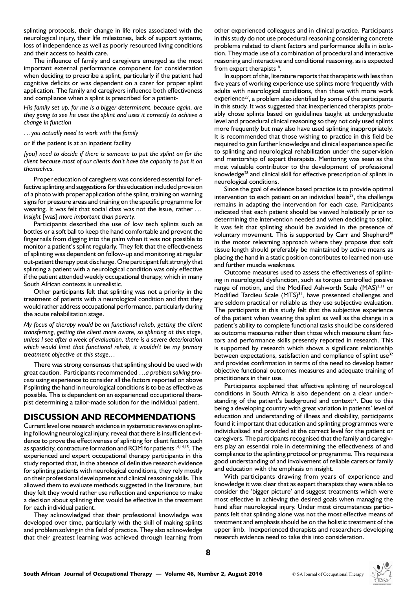splinting protocols, their change in life roles associated with the neurological injury, their life milestones, lack of support systems, loss of independence as well as poorly resourced living conditions and their access to health care.

The influence of family and caregivers emerged as the most important external performance component for consideration when deciding to prescribe a splint, particularly if the patient had cognitive deficits or was dependent on a carer for proper splint application. The family and caregivers influence both effectiveness and compliance when a splint is prescribed for a patient-

*His family set up, for me is a bigger determinant, because again, are they going to see he uses the splint and uses it correctly to achieve a change in function*

*…you actually need to work with the family*

or if the patient is at an inpatient facility

*[you] need to decide if there is someone to put the splint on for the client because most of our clients don't have the capacity to put it on themselves.*

Proper education of caregivers was considered essential for effective splinting and suggestions for this education included provision of a photo with proper application of the splint, training on warning signs for pressure areas and training on the specific programme for wearing. It was felt that social class was not the issue, rather *… Insight* [was] *more important than poverty.*

Participants described the use of low tech splints such as bottles or a soft ball to keep the hand comfortable and prevent the fingernails from digging into the palm when it was not possible to monitor a patient's splint regularly. They felt that the effectiveness of splinting was dependent on follow-up and monitoring at regular out-patient therapy post discharge. One participant felt strongly that splinting a patient with a neurological condition was only effective if the patient attended weekly occupational therapy, which in many South African contexts is unrealistic.

Other participants felt that splinting was not a priority in the treatment of patients with a neurological condition and that they would rather address occupational performance, particularly during the acute rehabilitation stage.

*My focus of therapy would be on functional rehab, getting the client transferring, getting the client more aware, so splinting at this stage, unless I see after a week of evaluation, there is a severe deterioration which would limit that functional rehab, it wouldn't be my primary treatment objective at this stage…*

There was strong consensus that splinting should be used with great caution. Participants recommended …*a problem solving process* using experience to consider all the factors reported on above if splinting the hand in neurological conditions is to be as effective as possible. This is dependent on an experienced occupational therapist determining a tailor-made solution for the individual patient.

# **DISCUSSION AND RECOMMENDATIONS**

Current level one research evidence in systematic reviews on splinting following neurological injury, reveal that there is insufficient evidence to prove the effectiveness of splinting for client factors such as spasticity, contracture formation and ROM for patients<sup>1,4,14,15</sup>. The experienced and expert occupational therapy participants in this study reported that, in the absence of definitive research evidence for splinting patients with neurological conditions, they rely mostly on their professional development and clinical reasoning skills. This allowed them to evaluate methods suggested in the literature, but they felt they would rather use reflection and experience to make a decision about splinting that would be effective in the treatment for each individual patient.

They acknowledged that their professional knowledge was developed over time, particularly with the skill of making splints and problem solving in this field of practice. They also acknowledge that their greatest learning was achieved through learning from

other experienced colleagues and in clinical practice. Participants in this study do not use procedural reasoning considering concrete problems related to client factors and performance skills in isolation. They made use of a combination of procedural and interactive reasoning and interactive and conditional reasoning, as is expected from expert therapists $18$ .

In support of this, literature reports that therapists with less than five years of working experience use splints more frequently with adults with neurological conditions, than those with more work experience<sup>27</sup>, a problem also identified by some of the participants in this study. It was suggested that inexperienced therapists probably chose splints based on guidelines taught at undergraduate level and procedural clinical reasoning so they not only used splints more frequently but may also have used splinting inappropriately. It is recommended that those wishing to practice in this field be required to gain further knowledge and clinical experience specific to splinting and neurological rehabilitation under the supervision and mentorship of expert therapists. Mentoring was seen as the most valuable contributor to the development of professional knowledge28 and clinical skill for effective prescription of splints in neurological conditions.

Since the goal of evidence based practice is to provide optimal intervention to each patient on an individual basis<sup>29</sup>, the challenge remains in adapting the intervention for each case. Participants indicated that each patient should be viewed holistically prior to determining the intervention needed and when deciding to splint. It was felt that splinting should be avoided in the presence of voluntary movement. This is supported by Carr and Shepherd<sup>30</sup> in the motor relearning approach where they propose that soft tissue length should preferably be maintained by active means as placing the hand in a static position contributes to learned non-use and further muscle weakness.

Outcome measures used to assess the effectiveness of splinting in neurological dysfunction, such as torque controlled passive range of motion, and the Modified Ashworth Scale (MAS)<sup>2,31</sup> or Modified Tardieu Scale (MTS)<sup>31</sup>, have presented challenges and are seldom practical or reliable as they use subjective evaluation. The participants in this study felt that the subjective experience of the patient when wearing the splint as well as the change in a patient's ability to complete functional tasks should be considered as outcome measures rather than those which measure client factors and performance skills presently reported in research. This is supported by research which shows a significant relationship between expectations, satisfaction and compliance of splint use<sup>32</sup> and provides confirmation in terms of the need to develop better objective functional outcomes measures and adequate training of practitioners in their use.

Participants explained that effective splinting of neurological conditions in South Africa is also dependent on a clear understanding of the patient's background and context<sup>32</sup>. Due to this being a developing country with great variation in patients' level of education and understanding of illness and disability, participants found it important that education and splinting programmes were individualised and provided at the correct level for the patient or caregivers. The participants recognised that the family and caregivers play an essential role in determining the effectiveness of and compliance to the splinting protocol or programme. This requires a good understanding of and involvement of reliable carers or family and education with the emphasis on insight.

With participants drawing from years of experience and knowledge it was clear that as expert therapists they were able to consider the 'bigger picture' and suggest treatments which were most effective in achieving the desired goals when managing the hand after neurological injury. Under most circumstances participants felt that splinting alone was not the most effective means of treatment and emphasis should be on the holistic treatment of the upper limb. Inexperienced therapists and researchers developing research evidence need to take this into consideration.